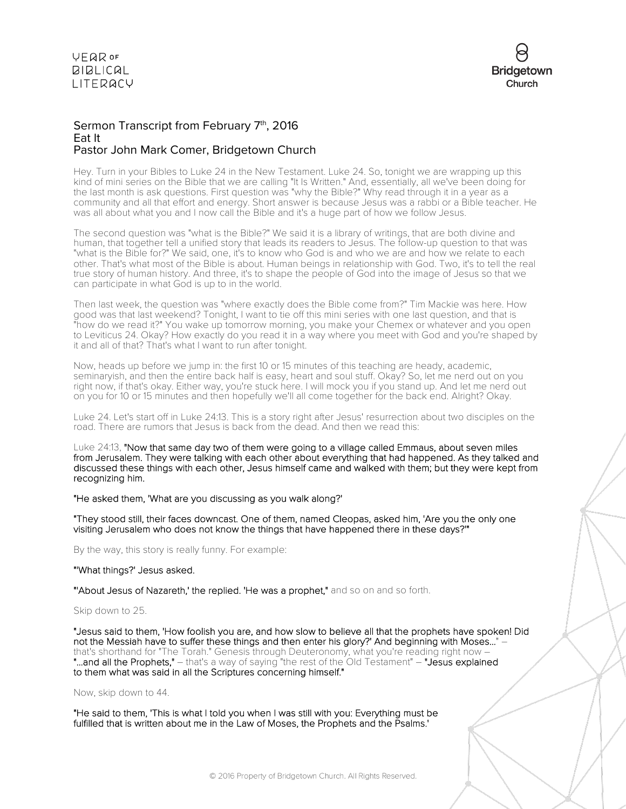

### Sermon Transcript from February 7<sup>th</sup>, 2016 Eat It Pastor John Mark Comer, Bridgetown Church

Hey. Turn in your Bibles to Luke 24 in the New Testament. Luke 24. So, tonight we are wrapping up this kind of mini series on the Bible that we are calling "It Is Written." And, essentially, all we've been doing for the last month is ask questions. First question was "why the Bible?" Why read through it in a year as a community and all that effort and energy. Short answer is because Jesus was a rabbi or a Bible teacher. He was all about what you and I now call the Bible and it's a huge part of how we follow Jesus.

The second question was "what is the Bible?" We said it is a library of writings, that are both divine and human, that together tell a unified story that leads its readers to Jesus. The follow-up question to that was "what is the Bible for?" We said, one, it's to know who God is and who we are and how we relate to each other. That's what most of the Bible is about. Human beings in relationship with God. Two, it's to tell the real true story of human history. And three, it's to shape the people of God into the image of Jesus so that we can participate in what God is up to in the world.

Then last week, the question was "where exactly does the Bible come from?" Tim Mackie was here. How good was that last weekend? Tonight, I want to tie off this mini series with one last question, and that is "how do we read it?" You wake up tomorrow morning, you make your Chemex or whatever and you open to Leviticus 24. Okay? How exactly do you read it in a way where you meet with God and you're shaped by it and all of that? That's what I want to run after tonight.

Now, heads up before we jump in: the first 10 or 15 minutes of this teaching are heady, academic, seminaryish, and then the entire back half is easy, heart and soul stuff. Okay? So, let me nerd out on you right now, if that's okay. Either way, you're stuck here. I will mock you if you stand up. And let me nerd out on you for 10 or 15 minutes and then hopefully we'll all come together for the back end. Alright? Okay.

Luke 24. Let's start off in Luke 24:13. This is a story right after Jesus' resurrection about two disciples on the road. There are rumors that Jesus is back from the dead. And then we read this:

Luke 24:13, "Now that same day two of them were going to a village called Emmaus, about seven miles from Jerusalem. They were talking with each other about everything that had happened. As they talked and discussed these things with each other, Jesus himself came and walked with them; but they were kept from recognizing him.

"He asked them, 'What are you discussing as you walk along?'

"They stood still, their faces downcast. One of them, named Cleopas, asked him, 'Are you the only one visiting Jerusalem who does not know the things that have happened there in these days?'"

By the way, this story is really funny. For example:

### "'What things?' Jesus asked.

"'About Jesus of Nazareth,' the replied. 'He was a prophet," and so on and so forth.

#### Skip down to 25.

"Jesus said to them, 'How foolish you are, and how slow to believe all that the prophets have spoken! Did not the Messiah have to suffer these things and then enter his glory?' And beginning with Moses..." – that's shorthand for "The Torah." Genesis through Deuteronomy, what you're reading right now -"...and all the Prophets," – that's a way of saying "the rest of the Old Testament" – "Jesus explained to them what was said in all the Scriptures concerning himself."

Now, skip down to 44.

"He said to them, 'This is what I told you when I was still with you: Everything must be fulfilled that is written about me in the Law of Moses, the Prophets and the Psalms.'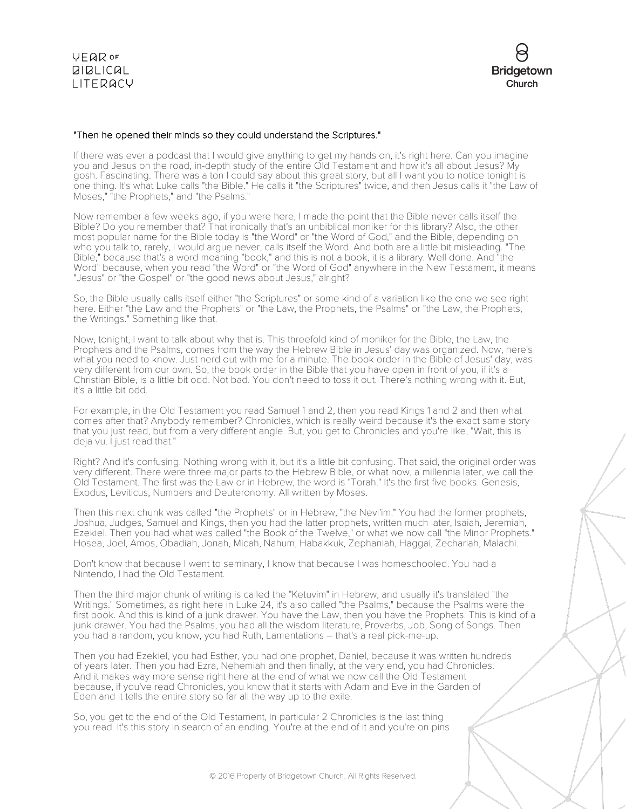

### "Then he opened their minds so they could understand the Scriptures."

If there was ever a podcast that I would give anything to get my hands on, it's right here. Can you imagine you and Jesus on the road, in-depth study of the entire Old Testament and how it's all about Jesus? My gosh. Fascinating. There was a ton I could say about this great story, but all I want you to notice tonight is one thing. It's what Luke calls "the Bible." He calls it "the Scriptures" twice, and then Jesus calls it "the Law of Moses," "the Prophets," and "the Psalms."

Now remember a few weeks ago, if you were here, I made the point that the Bible never calls itself the Bible? Do you remember that? That ironically that's an unbiblical moniker for this library? Also, the other most popular name for the Bible today is "the Word" or "the Word of God," and the Bible, depending on who you talk to, rarely, I would argue never, calls itself the Word. And both are a little bit misleading. "The Bible," because that's a word meaning "book," and this is not a book, it is a library. Well done. And "the Word" because, when you read "the Word" or "the Word of God" anywhere in the New Testament, it means "Jesus" or "the Gospel" or "the good news about Jesus," alright?

So, the Bible usually calls itself either "the Scriptures" or some kind of a variation like the one we see right here. Either "the Law and the Prophets" or "the Law, the Prophets, the Psalms" or "the Law, the Prophets, the Writings." Something like that.

Now, tonight, I want to talk about why that is. This threefold kind of moniker for the Bible, the Law, the Prophets and the Psalms, comes from the way the Hebrew Bible in Jesus' day was organized. Now, here's what you need to know. Just nerd out with me for a minute. The book order in the Bible of Jesus' day, was very different from our own. So, the book order in the Bible that you have open in front of you, if it's a Christian Bible, is a little bit odd. Not bad. You don't need to toss it out. There's nothing wrong with it. But, it's a little bit odd.

For example, in the Old Testament you read Samuel 1 and 2, then you read Kings 1 and 2 and then what comes after that? Anybody remember? Chronicles, which is really weird because it's the exact same story that you just read, but from a very different angle. But, you get to Chronicles and you're like, "Wait, this is deja vu. I just read that."

Right? And it's confusing. Nothing wrong with it, but it's a little bit confusing. That said, the original order was very different. There were three major parts to the Hebrew Bible, or what now, a millennia later, we call the Old Testament. The first was the Law or in Hebrew, the word is "Torah." It's the first five books. Genesis, Exodus, Leviticus, Numbers and Deuteronomy. All written by Moses.

Then this next chunk was called "the Prophets" or in Hebrew, "the Nevi'im." You had the former prophets, Joshua, Judges, Samuel and Kings, then you had the latter prophets, written much later, Isaiah, Jeremiah, Ezekiel. Then you had what was called "the Book of the Twelve," or what we now call "the Minor Prophets." Hosea, Joel, Amos, Obadiah, Jonah, Micah, Nahum, Habakkuk, Zephaniah, Haggai, Zechariah, Malachi.

Don't know that because I went to seminary, I know that because I was homeschooled. You had a Nintendo, I had the Old Testament.

Then the third major chunk of writing is called the "Ketuvim" in Hebrew, and usually it's translated "the Writings." Sometimes, as right here in Luke 24, it's also called "the Psalms," because the Psalms were the first book. And this is kind of a junk drawer. You have the Law, then you have the Prophets. This is kind of a junk drawer. You had the Psalms, you had all the wisdom literature, Proverbs, Job, Song of Songs. Then you had a random, you know, you had Ruth, Lamentations – that's a real pick-me-up.

Then you had Ezekiel, you had Esther, you had one prophet, Daniel, because it was written hundreds of years later. Then you had Ezra, Nehemiah and then finally, at the very end, you had Chronicles. And it makes way more sense right here at the end of what we now call the Old Testament because, if you've read Chronicles, you know that it starts with Adam and Eve in the Garden of Eden and it tells the entire story so far all the way up to the exile.

So, you get to the end of the Old Testament, in particular 2 Chronicles is the last thing you read. It's this story in search of an ending. You're at the end of it and you're on pins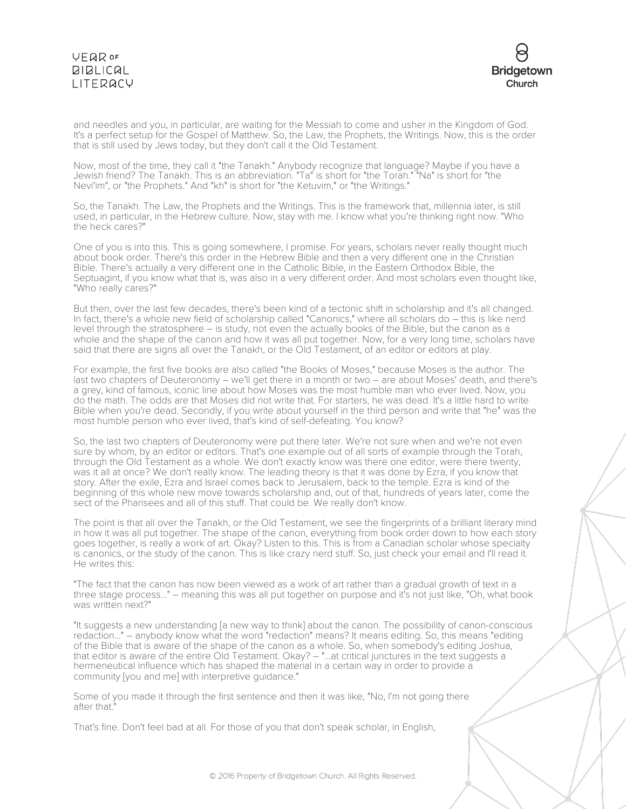# VEQROF **BIBLICAL** LITERACY



and needles and you, in particular, are waiting for the Messiah to come and usher in the Kingdom of God. It's a perfect setup for the Gospel of Matthew. So, the Law, the Prophets, the Writings. Now, this is the order that is still used by Jews today, but they don't call it the Old Testament.

Now, most of the time, they call it "the Tanakh." Anybody recognize that language? Maybe if you have a Jewish friend? The Tanakh. This is an abbreviation. "Ta" is short for "the Torah." "Na" is short for "the Nevi'im", or "the Prophets." And "kh" is short for "the Ketuvim," or "the Writings."

So, the Tanakh. The Law, the Prophets and the Writings. This is the framework that, millennia later, is still used, in particular, in the Hebrew culture. Now, stay with me. I know what you're thinking right now. "Who the heck cares?"

One of you is into this. This is going somewhere, I promise. For years, scholars never really thought much about book order. There's this order in the Hebrew Bible and then a very different one in the Christian Bible. There's actually a very different one in the Catholic Bible, in the Eastern Orthodox Bible, the Septuagint, if you know what that is, was also in a very different order. And most scholars even thought like, "Who really cares?"

But then, over the last few decades, there's been kind of a tectonic shift in scholarship and it's all changed. In fact, there's a whole new field of scholarship called "Canonics," where all scholars do – this is like nerd level through the stratosphere – is study, not even the actually books of the Bible, but the canon as a whole and the shape of the canon and how it was all put together. Now, for a very long time, scholars have said that there are signs all over the Tanakh, or the Old Testament, of an editor or editors at play.

For example, the first five books are also called "the Books of Moses," because Moses is the author. The last two chapters of Deuteronomy – we'll get there in a month or two – are about Moses' death, and there's a grey, kind of famous, iconic line about how Moses was the most humble man who ever lived. Now, you do the math. The odds are that Moses did not write that. For starters, he was dead. It's a little hard to write Bible when you're dead. Secondly, if you write about yourself in the third person and write that "he" was the most humble person who ever lived, that's kind of self-defeating. You know?

So, the last two chapters of Deuteronomy were put there later. We're not sure when and we're not even sure by whom, by an editor or editors. That's one example out of all sorts of example through the Torah, through the Old Testament as a whole. We don't exactly know was there one editor, were there twenty, was it all at once? We don't really know. The leading theory is that it was done by Ezra, if you know that story. After the exile, Ezra and Israel comes back to Jerusalem, back to the temple. Ezra is kind of the beginning of this whole new move towards scholarship and, out of that, hundreds of years later, come the sect of the Pharisees and all of this stuff. That could be. We really don't know.

The point is that all over the Tanakh, or the Old Testament, we see the fingerprints of a brilliant literary mind in how it was all put together. The shape of the canon, everything from book order down to how each story goes together, is really a work of art. Okay? Listen to this. This is from a Canadian scholar whose specialty is canonics, or the study of the canon. This is like crazy nerd stuff. So, just check your email and I'll read it. He writes this:

"The fact that the canon has now been viewed as a work of art rather than a gradual growth of text in a three stage process..." – meaning this was all put together on purpose and it's not just like, "Oh, what book was written next?"

"It suggests a new understanding [a new way to think] about the canon. The possibility of canon-conscious redaction..." – anybody know what the word "redaction" means? It means editing. So, this means "editing of the Bible that is aware of the shape of the canon as a whole. So, when somebody's editing Joshua, that editor is aware of the entire Old Testament. Okay? – "...at critical junctures in the text suggests a hermeneutical influence which has shaped the material in a certain way in order to provide a community [you and me] with interpretive guidance."

Some of you made it through the first sentence and then it was like, "No, I'm not going there after that."

That's fine. Don't feel bad at all. For those of you that don't speak scholar, in English,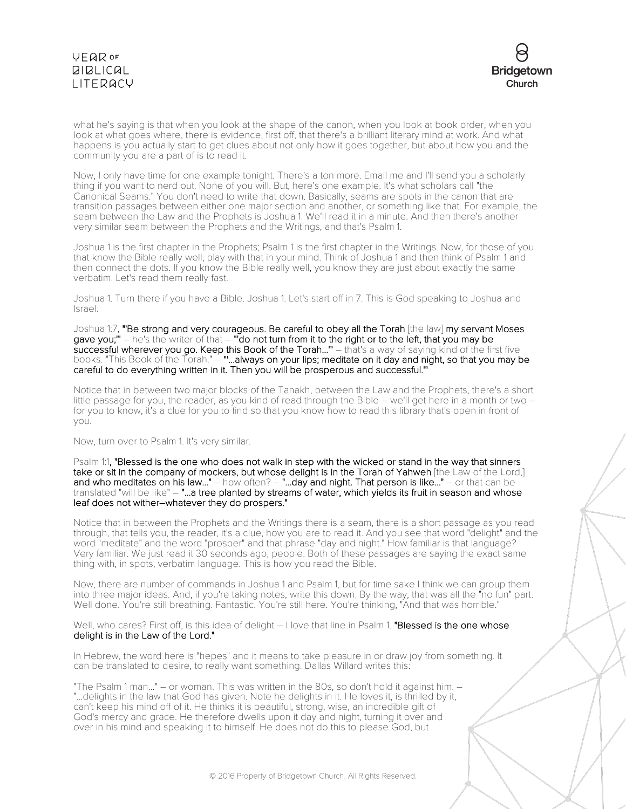# **VEQR OF BIBLICAL** LITERACY



what he's saying is that when you look at the shape of the canon, when you look at book order, when you look at what goes where, there is evidence, first off, that there's a brilliant literary mind at work. And what happens is you actually start to get clues about not only how it goes together, but about how you and the community you are a part of is to read it.

Now, I only have time for one example tonight. There's a ton more. Email me and I'll send you a scholarly thing if you want to nerd out. None of you will. But, here's one example. It's what scholars call "the Canonical Seams." You don't need to write that down. Basically, seams are spots in the canon that are transition passages between either one major section and another, or something like that. For example, the seam between the Law and the Prophets is Joshua 1. We'll read it in a minute. And then there's another very similar seam between the Prophets and the Writings, and that's Psalm 1.

Joshua 1 is the first chapter in the Prophets; Psalm 1 is the first chapter in the Writings. Now, for those of you that know the Bible really well, play with that in your mind. Think of Joshua 1 and then think of Psalm 1 and then connect the dots. If you know the Bible really well, you know they are just about exactly the same verbatim. Let's read them really fast.

Joshua 1. Turn there if you have a Bible. Joshua 1. Let's start off in 7. This is God speaking to Joshua and Israel.

Joshua 1:7, "'Be strong and very courageous. Be careful to obey all the Torah [the law] my servant Moses gave you;'" – he's the writer of that – "'do not turn from it to the right or to the left, that you may be successful wherever you go. Keep this Book of the Torah..." – that's a way of saying kind of the first five books. "This Book of the Torah." – "'...always on your lips; meditate on it day and night, so that you may be careful to do everything written in it. Then you will be prosperous and successful.'"

Notice that in between two major blocks of the Tanakh, between the Law and the Prophets, there's a short little passage for you, the reader, as you kind of read through the Bible – we'll get here in a month or two – for you to know, it's a clue for you to find so that you know how to read this library that's open in front of you.

Now, turn over to Psalm 1. It's very similar.

Psalm 1:1, "Blessed is the one who does not walk in step with the wicked or stand in the way that sinners take or sit in the company of mockers, but whose delight is in the Torah of Yahweh [the Law of the Lord,] and who meditates on his law..." – how often? – "...day and night. That person is like..." – or that can be translated "will be like" – "...a tree planted by streams of water, which yields its fruit in season and whose leaf does not wither–whatever they do prospers."

Notice that in between the Prophets and the Writings there is a seam, there is a short passage as you read through, that tells you, the reader, it's a clue, how you are to read it. And you see that word "delight" and the word "meditate" and the word "prosper" and that phrase "day and night." How familiar is that language? Very familiar. We just read it 30 seconds ago, people. Both of these passages are saying the exact same thing with, in spots, verbatim language. This is how you read the Bible.

Now, there are number of commands in Joshua 1 and Psalm 1, but for time sake I think we can group them into three major ideas. And, if you're taking notes, write this down. By the way, that was all the "no fun" part. Well done. You're still breathing. Fantastic. You're still here. You're thinking, "And that was horrible."

Well, who cares? First off, is this idea of delight – I love that line in Psalm 1. "Blessed is the one whose delight is in the Law of the Lord."

In Hebrew, the word here is "hepes" and it means to take pleasure in or draw joy from something. It can be translated to desire, to really want something. Dallas Willard writes this:

"The Psalm 1 man..." – or woman. This was written in the 80s, so don't hold it against him. – "...delights in the law that God has given. Note he delights in it. He loves it, is thrilled by it, can't keep his mind off of it. He thinks it is beautiful, strong, wise, an incredible gift of God's mercy and grace. He therefore dwells upon it day and night, turning it over and over in his mind and speaking it to himself. He does not do this to please God, but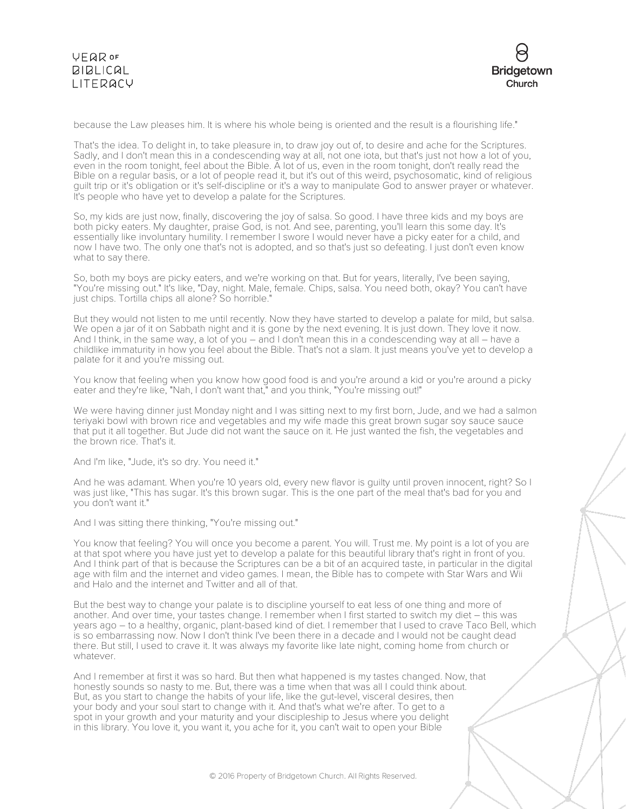



because the Law pleases him. It is where his whole being is oriented and the result is a flourishing life."

That's the idea. To delight in, to take pleasure in, to draw joy out of, to desire and ache for the Scriptures. Sadly, and I don't mean this in a condescending way at all, not one iota, but that's just not how a lot of you, even in the room tonight, feel about the Bible. A lot of us, even in the room tonight, don't really read the Bible on a regular basis, or a lot of people read it, but it's out of this weird, psychosomatic, kind of religious guilt trip or it's obligation or it's self-discipline or it's a way to manipulate God to answer prayer or whatever. It's people who have yet to develop a palate for the Scriptures.

So, my kids are just now, finally, discovering the joy of salsa. So good. I have three kids and my boys are both picky eaters. My daughter, praise God, is not. And see, parenting, you'll learn this some day. It's essentially like involuntary humility. I remember I swore I would never have a picky eater for a child, and now I have two. The only one that's not is adopted, and so that's just so defeating. I just don't even know what to say there.

So, both my boys are picky eaters, and we're working on that. But for years, literally, I've been saying, "You're missing out." It's like, "Day, night. Male, female. Chips, salsa. You need both, okay? You can't have just chips. Tortilla chips all alone? So horrible."

But they would not listen to me until recently. Now they have started to develop a palate for mild, but salsa. We open a jar of it on Sabbath night and it is gone by the next evening. It is just down. They love it now. And I think, in the same way, a lot of you – and I don't mean this in a condescending way at all – have a childlike immaturity in how you feel about the Bible. That's not a slam. It just means you've yet to develop a palate for it and you're missing out.

You know that feeling when you know how good food is and you're around a kid or you're around a picky eater and they're like, "Nah, I don't want that," and you think, "You're missing out!"

We were having dinner just Monday night and I was sitting next to my first born, Jude, and we had a salmon teriyaki bowl with brown rice and vegetables and my wife made this great brown sugar soy sauce sauce that put it all together. But Jude did not want the sauce on it. He just wanted the fish, the vegetables and the brown rice. That's it.

And I'm like, "Jude, it's so dry. You need it."

And he was adamant. When you're 10 years old, every new flavor is guilty until proven innocent, right? So I was just like, "This has sugar. It's this brown sugar. This is the one part of the meal that's bad for you and you don't want it."

And I was sitting there thinking, "You're missing out."

You know that feeling? You will once you become a parent. You will. Trust me. My point is a lot of you are at that spot where you have just yet to develop a palate for this beautiful library that's right in front of you. And I think part of that is because the Scriptures can be a bit of an acquired taste, in particular in the digital age with film and the internet and video games. I mean, the Bible has to compete with Star Wars and Wii and Halo and the internet and Twitter and all of that.

But the best way to change your palate is to discipline yourself to eat less of one thing and more of another. And over time, your tastes change. I remember when I first started to switch my diet – this was years ago – to a healthy, organic, plant-based kind of diet. I remember that I used to crave Taco Bell, which is so embarrassing now. Now I don't think I've been there in a decade and I would not be caught dead there. But still, I used to crave it. It was always my favorite like late night, coming home from church or whatever.

And I remember at first it was so hard. But then what happened is my tastes changed. Now, that honestly sounds so nasty to me. But, there was a time when that was all I could think about. But, as you start to change the habits of your life, like the gut-level, visceral desires, then your body and your soul start to change with it. And that's what we're after. To get to a spot in your growth and your maturity and your discipleship to Jesus where you delight in this library. You love it, you want it, you ache for it, you can't wait to open your Bible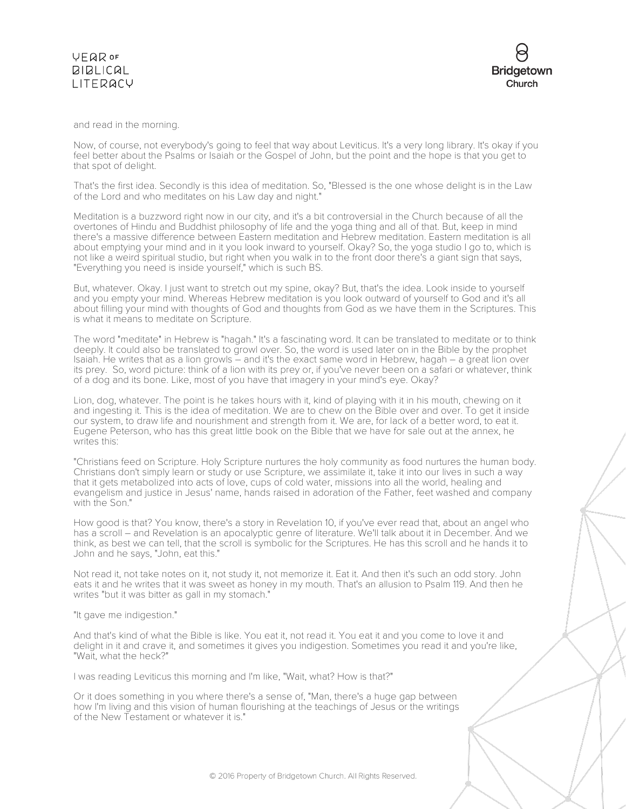### **VFQR OF BIBLICAL** LITERACY

and read in the morning.

Now, of course, not everybody's going to feel that way about Leviticus. It's a very long library. It's okay if you feel better about the Psalms or Isaiah or the Gospel of John, but the point and the hope is that you get to that spot of delight.

That's the first idea. Secondly is this idea of meditation. So, "Blessed is the one whose delight is in the Law of the Lord and who meditates on his Law day and night."

Meditation is a buzzword right now in our city, and it's a bit controversial in the Church because of all the overtones of Hindu and Buddhist philosophy of life and the yoga thing and all of that. But, keep in mind there's a massive difference between Eastern meditation and Hebrew meditation. Eastern meditation is all about emptying your mind and in it you look inward to yourself. Okay? So, the yoga studio I go to, which is not like a weird spiritual studio, but right when you walk in to the front door there's a giant sign that says, "Everything you need is inside yourself," which is such BS.

But, whatever. Okay. I just want to stretch out my spine, okay? But, that's the idea. Look inside to yourself and you empty your mind. Whereas Hebrew meditation is you look outward of yourself to God and it's all about filling your mind with thoughts of God and thoughts from God as we have them in the Scriptures. This is what it means to meditate on Scripture.

The word "meditate" in Hebrew is "hagah." It's a fascinating word. It can be translated to meditate or to think deeply. It could also be translated to growl over. So, the word is used later on in the Bible by the prophet Isaiah. He writes that as a lion growls – and it's the exact same word in Hebrew, hagah – a great lion over its prey. So, word picture: think of a lion with its prey or, if you've never been on a safari or whatever, think of a dog and its bone. Like, most of you have that imagery in your mind's eye. Okay?

Lion, dog, whatever. The point is he takes hours with it, kind of playing with it in his mouth, chewing on it and ingesting it. This is the idea of meditation. We are to chew on the Bible over and over. To get it inside our system, to draw life and nourishment and strength from it. We are, for lack of a better word, to eat it. Eugene Peterson, who has this great little book on the Bible that we have for sale out at the annex, he writes this:

"Christians feed on Scripture. Holy Scripture nurtures the holy community as food nurtures the human body. Christians don't simply learn or study or use Scripture, we assimilate it, take it into our lives in such a way that it gets metabolized into acts of love, cups of cold water, missions into all the world, healing and evangelism and justice in Jesus' name, hands raised in adoration of the Father, feet washed and company with the Son."

How good is that? You know, there's a story in Revelation 10, if you've ever read that, about an angel who has a scroll – and Revelation is an apocalyptic genre of literature. We'll talk about it in December. And we think, as best we can tell, that the scroll is symbolic for the Scriptures. He has this scroll and he hands it to John and he says, "John, eat this."

Not read it, not take notes on it, not study it, not memorize it. Eat it. And then it's such an odd story. John eats it and he writes that it was sweet as honey in my mouth. That's an allusion to Psalm 119. And then he writes "but it was bitter as gall in my stomach."

"It gave me indigestion."

And that's kind of what the Bible is like. You eat it, not read it. You eat it and you come to love it and delight in it and crave it, and sometimes it gives you indigestion. Sometimes you read it and you're like, "Wait, what the heck?"

I was reading Leviticus this morning and I'm like, "Wait, what? How is that?"

Or it does something in you where there's a sense of, "Man, there's a huge gap between how I'm living and this vision of human flourishing at the teachings of Jesus or the writings of the New Testament or whatever it is."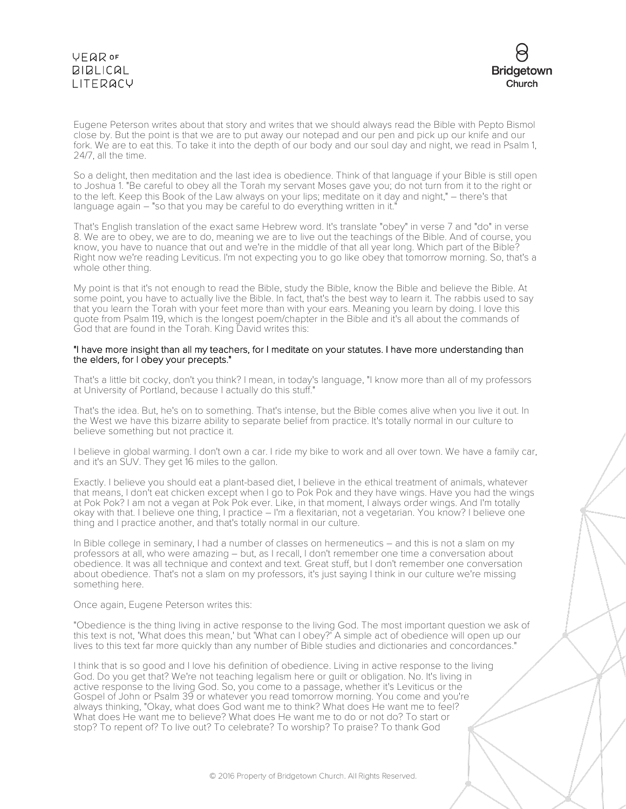# VEQROF **BIBLICAL** LITERACY



Eugene Peterson writes about that story and writes that we should always read the Bible with Pepto Bismol close by. But the point is that we are to put away our notepad and our pen and pick up our knife and our fork. We are to eat this. To take it into the depth of our body and our soul day and night, we read in Psalm 1, 24/7, all the time.

So a delight, then meditation and the last idea is obedience. Think of that language if your Bible is still open to Joshua 1. "Be careful to obey all the Torah my servant Moses gave you; do not turn from it to the right or to the left. Keep this Book of the Law always on your lips; meditate on it day and night," – there's that language again – "so that you may be careful to do everything written in it."

That's English translation of the exact same Hebrew word. It's translate "obey" in verse 7 and "do" in verse 8. We are to obey, we are to do, meaning we are to live out the teachings of the Bible. And of course, you know, you have to nuance that out and we're in the middle of that all year long. Which part of the Bible? Right now we're reading Leviticus. I'm not expecting you to go like obey that tomorrow morning. So, that's a whole other thing.

My point is that it's not enough to read the Bible, study the Bible, know the Bible and believe the Bible. At some point, you have to actually live the Bible. In fact, that's the best way to learn it. The rabbis used to say that you learn the Torah with your feet more than with your ears. Meaning you learn by doing. I love this quote from Psalm 119, which is the longest poem/chapter in the Bible and it's all about the commands of God that are found in the Torah. King David writes this:

### "I have more insight than all my teachers, for I meditate on your statutes. I have more understanding than the elders, for I obey your precepts."

That's a little bit cocky, don't you think? I mean, in today's language, "I know more than all of my professors at University of Portland, because I actually do this stuff."

That's the idea. But, he's on to something. That's intense, but the Bible comes alive when you live it out. In the West we have this bizarre ability to separate belief from practice. It's totally normal in our culture to believe something but not practice it.

I believe in global warming. I don't own a car. I ride my bike to work and all over town. We have a family car, and it's an SUV. They get 16 miles to the gallon.

Exactly. I believe you should eat a plant-based diet, I believe in the ethical treatment of animals, whatever that means, I don't eat chicken except when I go to Pok Pok and they have wings. Have you had the wings at Pok Pok? I am not a vegan at Pok Pok ever. Like, in that moment, I always order wings. And I'm totally okay with that. I believe one thing, I practice – I'm a flexitarian, not a vegetarian. You know? I believe one thing and I practice another, and that's totally normal in our culture.

In Bible college in seminary, I had a number of classes on hermeneutics – and this is not a slam on my professors at all, who were amazing – but, as I recall, I don't remember one time a conversation about obedience. It was all technique and context and text. Great stuff, but I don't remember one conversation about obedience. That's not a slam on my professors, it's just saying I think in our culture we're missing something here.

#### Once again, Eugene Peterson writes this:

"Obedience is the thing living in active response to the living God. The most important question we ask of this text is not, 'What does this mean,' but 'What can I obey?' A simple act of obedience will open up our lives to this text far more quickly than any number of Bible studies and dictionaries and concordances."

I think that is so good and I love his definition of obedience. Living in active response to the living God. Do you get that? We're not teaching legalism here or guilt or obligation. No. It's living in active response to the living God. So, you come to a passage, whether it's Leviticus or the Gospel of John or Psalm 39 or whatever you read tomorrow morning. You come and you're always thinking, "Okay, what does God want me to think? What does He want me to feel? What does He want me to believe? What does He want me to do or not do? To start or stop? To repent of? To live out? To celebrate? To worship? To praise? To thank God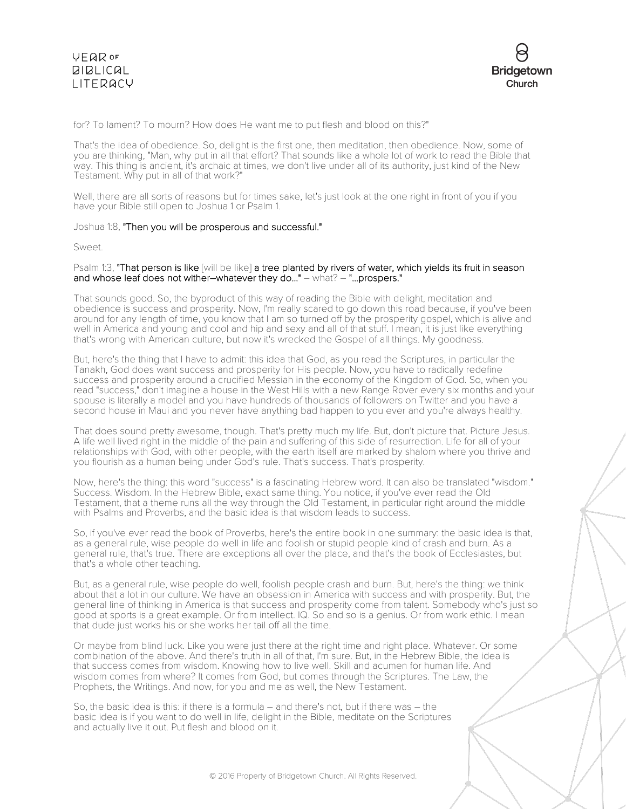### **VFQR OF**  $BIBLICAL$ LITERACY



for? To lament? To mourn? How does He want me to put flesh and blood on this?"

That's the idea of obedience. So, delight is the first one, then meditation, then obedience. Now, some of you are thinking, "Man, why put in all that effort? That sounds like a whole lot of work to read the Bible that way. This thing is ancient, it's archaic at times, we don't live under all of its authority, just kind of the New Testament. Why put in all of that work?"

Well, there are all sorts of reasons but for times sake, let's just look at the one right in front of you if you have your Bible still open to Joshua 1 or Psalm 1.

### Joshua 1:8, "Then you will be prosperous and successful."

Sweet.

### Psalm 1:3, "That person is like [will be like] a tree planted by rivers of water, which yields its fruit in season and whose leaf does not wither–whatever they do..." – what? – "...prospers."

That sounds good. So, the byproduct of this way of reading the Bible with delight, meditation and obedience is success and prosperity. Now, I'm really scared to go down this road because, if you've been around for any length of time, you know that I am so turned off by the prosperity gospel, which is alive and well in America and young and cool and hip and sexy and all of that stuff. I mean, it is just like everything that's wrong with American culture, but now it's wrecked the Gospel of all things. My goodness.

But, here's the thing that I have to admit: this idea that God, as you read the Scriptures, in particular the Tanakh, God does want success and prosperity for His people. Now, you have to radically redefine success and prosperity around a crucified Messiah in the economy of the Kingdom of God. So, when you read "success," don't imagine a house in the West Hills with a new Range Rover every six months and your spouse is literally a model and you have hundreds of thousands of followers on Twitter and you have a second house in Maui and you never have anything bad happen to you ever and you're always healthy.

That does sound pretty awesome, though. That's pretty much my life. But, don't picture that. Picture Jesus. A life well lived right in the middle of the pain and suffering of this side of resurrection. Life for all of your relationships with God, with other people, with the earth itself are marked by shalom where you thrive and you flourish as a human being under God's rule. That's success. That's prosperity.

Now, here's the thing: this word "success" is a fascinating Hebrew word. It can also be translated "wisdom." Success. Wisdom. In the Hebrew Bible, exact same thing. You notice, if you've ever read the Old Testament, that a theme runs all the way through the Old Testament, in particular right around the middle with Psalms and Proverbs, and the basic idea is that wisdom leads to success.

So, if you've ever read the book of Proverbs, here's the entire book in one summary: the basic idea is that, as a general rule, wise people do well in life and foolish or stupid people kind of crash and burn. As a general rule, that's true. There are exceptions all over the place, and that's the book of Ecclesiastes, but that's a whole other teaching.

But, as a general rule, wise people do well, foolish people crash and burn. But, here's the thing: we think about that a lot in our culture. We have an obsession in America with success and with prosperity. But, the general line of thinking in America is that success and prosperity come from talent. Somebody who's just so good at sports is a great example. Or from intellect. IQ. So and so is a genius. Or from work ethic. I mean that dude just works his or she works her tail off all the time.

Or maybe from blind luck. Like you were just there at the right time and right place. Whatever. Or some combination of the above. And there's truth in all of that, I'm sure. But, in the Hebrew Bible, the idea is that success comes from wisdom. Knowing how to live well. Skill and acumen for human life. And wisdom comes from where? It comes from God, but comes through the Scriptures. The Law, the Prophets, the Writings. And now, for you and me as well, the New Testament.

So, the basic idea is this: if there is a formula – and there's not, but if there was – the basic idea is if you want to do well in life, delight in the Bible, meditate on the Scriptures and actually live it out. Put flesh and blood on it.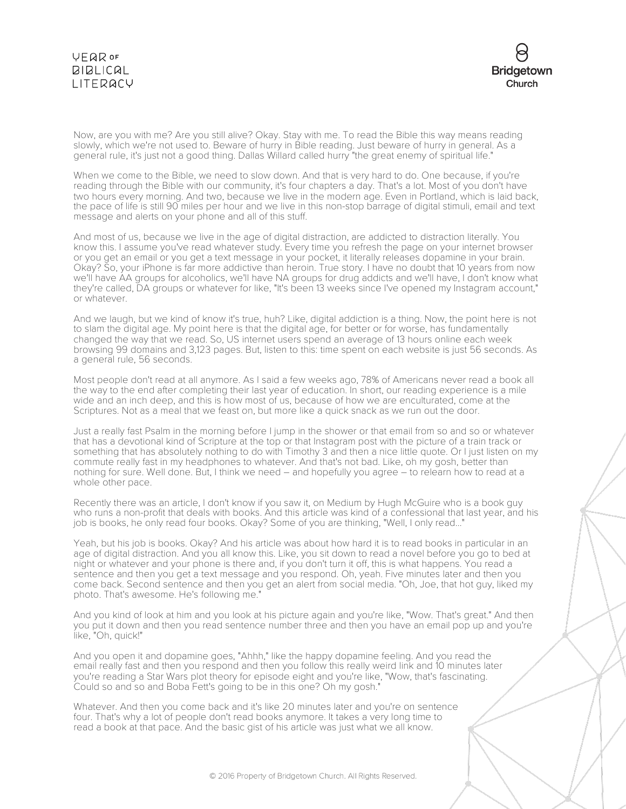## **VEQR OF BIBLICAL** LITERACY



Now, are you with me? Are you still alive? Okay. Stay with me. To read the Bible this way means reading slowly, which we're not used to. Beware of hurry in Bible reading. Just beware of hurry in general. As a general rule, it's just not a good thing. Dallas Willard called hurry "the great enemy of spiritual life."

When we come to the Bible, we need to slow down. And that is very hard to do. One because, if you're reading through the Bible with our community, it's four chapters a day. That's a lot. Most of you don't have two hours every morning. And two, because we live in the modern age. Even in Portland, which is laid back, the pace of life is still 90 miles per hour and we live in this non-stop barrage of digital stimuli, email and text message and alerts on your phone and all of this stuff.

And most of us, because we live in the age of digital distraction, are addicted to distraction literally. You know this. I assume you've read whatever study. Every time you refresh the page on your internet browser or you get an email or you get a text message in your pocket, it literally releases dopamine in your brain. Okay? So, your iPhone is far more addictive than heroin. True story. I have no doubt that 10 years from now we'll have AA groups for alcoholics, we'll have NA groups for drug addicts and we'll have, I don't know what they're called, DA groups or whatever for like, "It's been 13 weeks since I've opened my Instagram account," or whatever.

And we laugh, but we kind of know it's true, huh? Like, digital addiction is a thing. Now, the point here is not to slam the digital age. My point here is that the digital age, for better or for worse, has fundamentally changed the way that we read. So, US internet users spend an average of 13 hours online each week browsing 99 domains and 3,123 pages. But, listen to this: time spent on each website is just 56 seconds. As a general rule, 56 seconds.

Most people don't read at all anymore. As I said a few weeks ago, 78% of Americans never read a book all the way to the end after completing their last year of education. In short, our reading experience is a mile wide and an inch deep, and this is how most of us, because of how we are enculturated, come at the Scriptures. Not as a meal that we feast on, but more like a quick snack as we run out the door.

Just a really fast Psalm in the morning before I jump in the shower or that email from so and so or whatever that has a devotional kind of Scripture at the top or that Instagram post with the picture of a train track or something that has absolutely nothing to do with Timothy 3 and then a nice little quote. Or I just listen on my commute really fast in my headphones to whatever. And that's not bad. Like, oh my gosh, better than nothing for sure. Well done. But, I think we need – and hopefully you agree – to relearn how to read at a whole other pace.

Recently there was an article, I don't know if you saw it, on Medium by Hugh McGuire who is a book guy who runs a non-profit that deals with books. And this article was kind of a confessional that last year, and his job is books, he only read four books. Okay? Some of you are thinking, "Well, I only read..."

Yeah, but his job is books. Okay? And his article was about how hard it is to read books in particular in an age of digital distraction. And you all know this. Like, you sit down to read a novel before you go to bed at night or whatever and your phone is there and, if you don't turn it off, this is what happens. You read a sentence and then you get a text message and you respond. Oh, yeah. Five minutes later and then you come back. Second sentence and then you get an alert from social media. "Oh, Joe, that hot guy, liked my photo. That's awesome. He's following me."

And you kind of look at him and you look at his picture again and you're like, "Wow. That's great." And then you put it down and then you read sentence number three and then you have an email pop up and you're like, "Oh, quick!"

And you open it and dopamine goes, "Ahhh," like the happy dopamine feeling. And you read the email really fast and then you respond and then you follow this really weird link and 10 minutes later you're reading a Star Wars plot theory for episode eight and you're like, "Wow, that's fascinating. Could so and so and Boba Fett's going to be in this one? Oh my gosh."

Whatever. And then you come back and it's like 20 minutes later and you're on sentence four. That's why a lot of people don't read books anymore. It takes a very long time to read a book at that pace. And the basic gist of his article was just what we all know.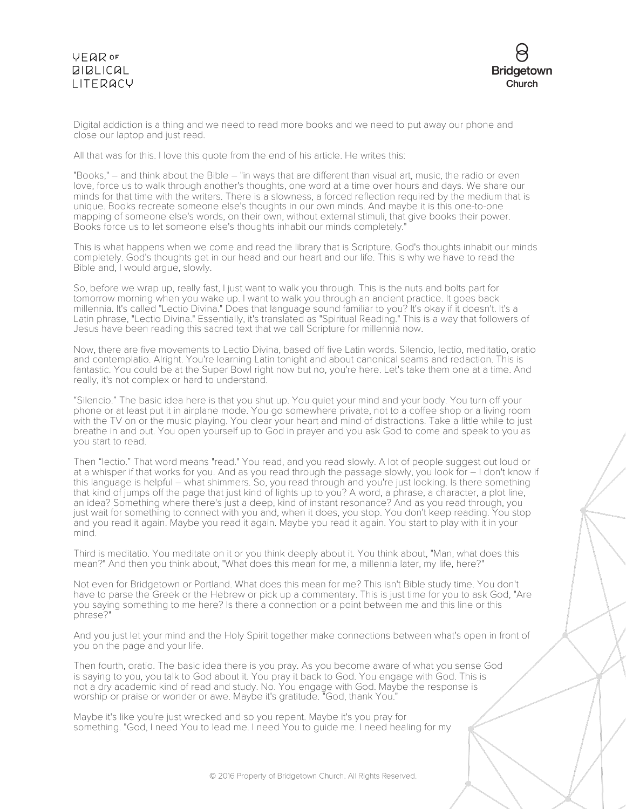# **VFQR OF**  $BIBLICAL$ LITERACY



Digital addiction is a thing and we need to read more books and we need to put away our phone and close our laptop and just read.

All that was for this. I love this quote from the end of his article. He writes this:

"Books," – and think about the Bible – "in ways that are different than visual art, music, the radio or even love, force us to walk through another's thoughts, one word at a time over hours and days. We share our minds for that time with the writers. There is a slowness, a forced reflection required by the medium that is unique. Books recreate someone else's thoughts in our own minds. And maybe it is this one-to-one mapping of someone else's words, on their own, without external stimuli, that give books their power. Books force us to let someone else's thoughts inhabit our minds completely."

This is what happens when we come and read the library that is Scripture. God's thoughts inhabit our minds completely. God's thoughts get in our head and our heart and our life. This is why we have to read the Bible and, I would argue, slowly.

So, before we wrap up, really fast, I just want to walk you through. This is the nuts and bolts part for tomorrow morning when you wake up. I want to walk you through an ancient practice. It goes back millennia. It's called "Lectio Divina." Does that language sound familiar to you? It's okay if it doesn't. It's a Latin phrase, "Lectio Divina." Essentially, it's translated as "Spiritual Reading." This is a way that followers of Jesus have been reading this sacred text that we call Scripture for millennia now.

Now, there are five movements to Lectio Divina, based off five Latin words. Silencio, lectio, meditatio, oratio and contemplatio. Alright. You're learning Latin tonight and about canonical seams and redaction. This is fantastic. You could be at the Super Bowl right now but no, you're here. Let's take them one at a time. And really, it's not complex or hard to understand.

"Silencio." The basic idea here is that you shut up. You quiet your mind and your body. You turn off your phone or at least put it in airplane mode. You go somewhere private, not to a coffee shop or a living room with the TV on or the music playing. You clear your heart and mind of distractions. Take a little while to just breathe in and out. You open yourself up to God in prayer and you ask God to come and speak to you as you start to read.

Then "lectio." That word means "read." You read, and you read slowly. A lot of people suggest out loud or at a whisper if that works for you. And as you read through the passage slowly, you look for – I don't know if this language is helpful – what shimmers. So, you read through and you're just looking. Is there something that kind of jumps off the page that just kind of lights up to you? A word, a phrase, a character, a plot line, an idea? Something where there's just a deep, kind of instant resonance? And as you read through, you just wait for something to connect with you and, when it does, you stop. You don't keep reading. You stop and you read it again. Maybe you read it again. Maybe you read it again. You start to play with it in your mind.

Third is meditatio. You meditate on it or you think deeply about it. You think about, "Man, what does this mean?" And then you think about, "What does this mean for me, a millennia later, my life, here?"

Not even for Bridgetown or Portland. What does this mean for me? This isn't Bible study time. You don't have to parse the Greek or the Hebrew or pick up a commentary. This is just time for you to ask God, "Are you saying something to me here? Is there a connection or a point between me and this line or this phrase?

And you just let your mind and the Holy Spirit together make connections between what's open in front of you on the page and your life.

Then fourth, oratio. The basic idea there is you pray. As you become aware of what you sense God is saying to you, you talk to God about it. You pray it back to God. You engage with God. This is not a dry academic kind of read and study. No. You engage with God. Maybe the response is worship or praise or wonder or awe. Maybe it's gratitude. "God, thank You."

Maybe it's like you're just wrecked and so you repent. Maybe it's you pray for something. "God, I need You to lead me. I need You to guide me. I need healing for my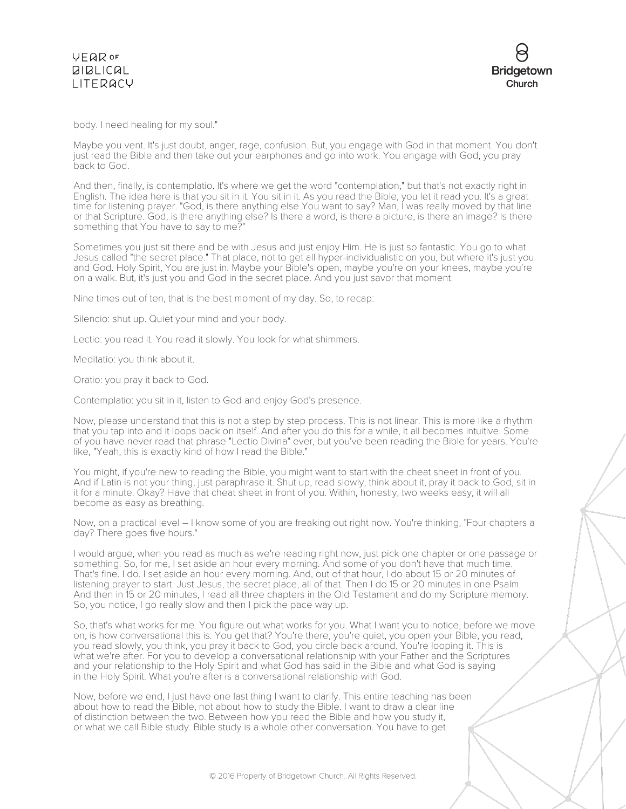



body. I need healing for my soul."

Maybe you vent. It's just doubt, anger, rage, confusion. But, you engage with God in that moment. You don't just read the Bible and then take out your earphones and go into work. You engage with God, you pray back to God.

And then, finally, is contemplatio. It's where we get the word "contemplation," but that's not exactly right in English. The idea here is that you sit in it. You sit in it. As you read the Bible, you let it read you. It's a great time for listening prayer. "God, is there anything else You want to say? Man, I was really moved by that line or that Scripture. God, is there anything else? Is there a word, is there a picture, is there an image? Is there something that You have to say to me?

Sometimes you just sit there and be with Jesus and just enjoy Him. He is just so fantastic. You go to what Jesus called "the secret place." That place, not to get all hyper-individualistic on you, but where it's just you and God. Holy Spirit, You are just in. Maybe your Bible's open, maybe you're on your knees, maybe you're on a walk. But, it's just you and God in the secret place. And you just savor that moment.

Nine times out of ten, that is the best moment of my day. So, to recap:

Silencio: shut up. Quiet your mind and your body.

Lectio: you read it. You read it slowly. You look for what shimmers.

Meditatio: you think about it.

Oratio: you pray it back to God.

Contemplatio: you sit in it, listen to God and enjoy God's presence.

Now, please understand that this is not a step by step process. This is not linear. This is more like a rhythm that you tap into and it loops back on itself. And after you do this for a while, it all becomes intuitive. Some of you have never read that phrase "Lectio Divina" ever, but you've been reading the Bible for years. You're like, "Yeah, this is exactly kind of how I read the Bible."

You might, if you're new to reading the Bible, you might want to start with the cheat sheet in front of you. And if Latin is not your thing, just paraphrase it. Shut up, read slowly, think about it, pray it back to God, sit in it for a minute. Okay? Have that cheat sheet in front of you. Within, honestly, two weeks easy, it will all become as easy as breathing.

Now, on a practical level – I know some of you are freaking out right now. You're thinking, "Four chapters a day? There goes five hours."

I would argue, when you read as much as we're reading right now, just pick one chapter or one passage or something. So, for me, I set aside an hour every morning. And some of you don't have that much time. That's fine. I do. I set aside an hour every morning. And, out of that hour, I do about 15 or 20 minutes of listening prayer to start. Just Jesus, the secret place, all of that. Then I do 15 or 20 minutes in one Psalm. And then in 15 or 20 minutes, I read all three chapters in the Old Testament and do my Scripture memory. So, you notice, I go really slow and then I pick the pace way up.

So, that's what works for me. You figure out what works for you. What I want you to notice, before we move on, is how conversational this is. You get that? You're there, you're quiet, you open your Bible, you read, you read slowly, you think, you pray it back to God, you circle back around. You're looping it. This is what we're after. For you to develop a conversational relationship with your Father and the Scriptures and your relationship to the Holy Spirit and what God has said in the Bible and what God is saying in the Holy Spirit. What you're after is a conversational relationship with God.

Now, before we end, I just have one last thing I want to clarify. This entire teaching has been about how to read the Bible, not about how to study the Bible. I want to draw a clear line of distinction between the two. Between how you read the Bible and how you study it, or what we call Bible study. Bible study is a whole other conversation. You have to get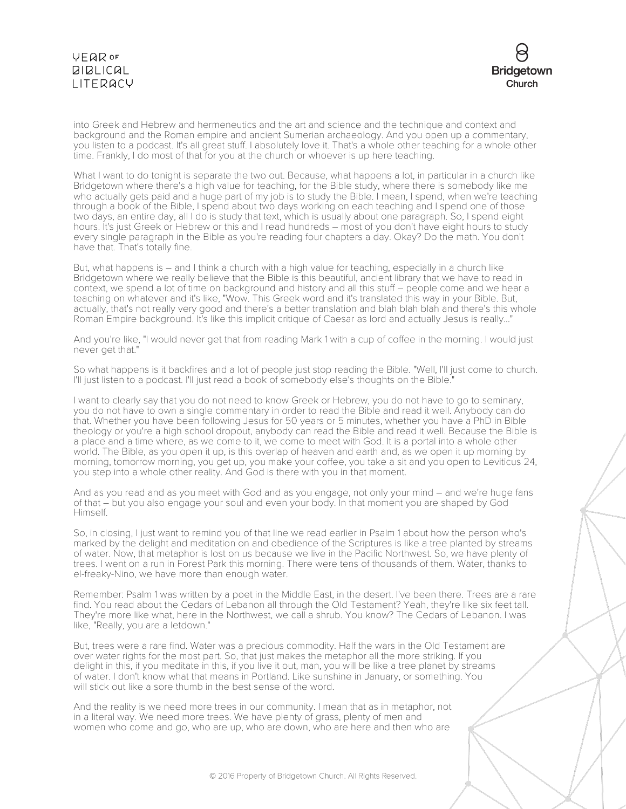# **VEQR OF BIBLICAL** LITERACY



into Greek and Hebrew and hermeneutics and the art and science and the technique and context and background and the Roman empire and ancient Sumerian archaeology. And you open up a commentary, you listen to a podcast. It's all great stuff. I absolutely love it. That's a whole other teaching for a whole other time. Frankly, I do most of that for you at the church or whoever is up here teaching.

What I want to do tonight is separate the two out. Because, what happens a lot, in particular in a church like Bridgetown where there's a high value for teaching, for the Bible study, where there is somebody like me who actually gets paid and a huge part of my job is to study the Bible. I mean, I spend, when we're teaching through a book of the Bible, I spend about two days working on each teaching and I spend one of those two days, an entire day, all I do is study that text, which is usually about one paragraph. So, I spend eight hours. It's just Greek or Hebrew or this and I read hundreds – most of you don't have eight hours to study every single paragraph in the Bible as you're reading four chapters a day. Okay? Do the math. You don't have that. That's totally fine.

But, what happens is – and I think a church with a high value for teaching, especially in a church like Bridgetown where we really believe that the Bible is this beautiful, ancient library that we have to read in context, we spend a lot of time on background and history and all this stuff – people come and we hear a teaching on whatever and it's like, "Wow. This Greek word and it's translated this way in your Bible. But, actually, that's not really very good and there's a better translation and blah blah blah and there's this whole Roman Empire background. It's like this implicit critique of Caesar as lord and actually Jesus is really..."

And you're like, "I would never get that from reading Mark 1 with a cup of coffee in the morning. I would just never get that."

So what happens is it backfires and a lot of people just stop reading the Bible. "Well, I'll just come to church. I'll just listen to a podcast. I'll just read a book of somebody else's thoughts on the Bible."

I want to clearly say that you do not need to know Greek or Hebrew, you do not have to go to seminary, you do not have to own a single commentary in order to read the Bible and read it well. Anybody can do that. Whether you have been following Jesus for 50 years or 5 minutes, whether you have a PhD in Bible theology or you're a high school dropout, anybody can read the Bible and read it well. Because the Bible is a place and a time where, as we come to it, we come to meet with God. It is a portal into a whole other world. The Bible, as you open it up, is this overlap of heaven and earth and, as we open it up morning by morning, tomorrow morning, you get up, you make your coffee, you take a sit and you open to Leviticus 24, you step into a whole other reality. And God is there with you in that moment.

And as you read and as you meet with God and as you engage, not only your mind – and we're huge fans of that – but you also engage your soul and even your body. In that moment you are shaped by God Himself.

So, in closing, I just want to remind you of that line we read earlier in Psalm 1 about how the person who's marked by the delight and meditation on and obedience of the Scriptures is like a tree planted by streams of water. Now, that metaphor is lost on us because we live in the Pacific Northwest. So, we have plenty of trees. I went on a run in Forest Park this morning. There were tens of thousands of them. Water, thanks to el-freaky-Nino, we have more than enough water.

Remember: Psalm 1 was written by a poet in the Middle East, in the desert. I've been there. Trees are a rare find. You read about the Cedars of Lebanon all through the Old Testament? Yeah, they're like six feet tall. They're more like what, here in the Northwest, we call a shrub. You know? The Cedars of Lebanon. I was like, "Really, you are a letdown."

But, trees were a rare find. Water was a precious commodity. Half the wars in the Old Testament are over water rights for the most part. So, that just makes the metaphor all the more striking. If you delight in this, if you meditate in this, if you live it out, man, you will be like a tree planet by streams of water. I don't know what that means in Portland. Like sunshine in January, or something. You will stick out like a sore thumb in the best sense of the word.

And the reality is we need more trees in our community. I mean that as in metaphor, not in a literal way. We need more trees. We have plenty of grass, plenty of men and women who come and go, who are up, who are down, who are here and then who are